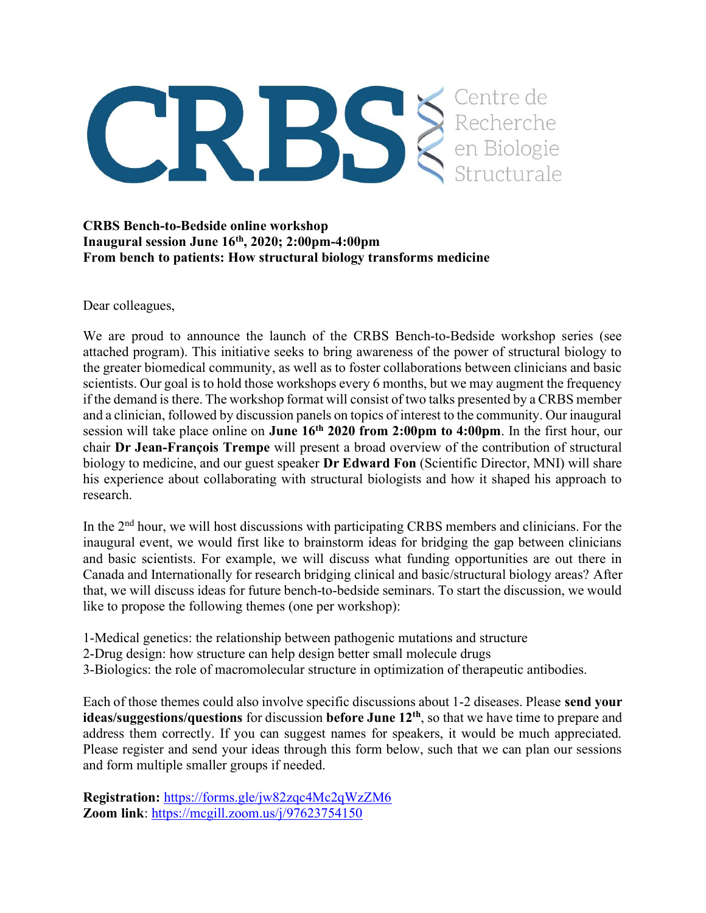

## CRBS Bench-to-Bedside online workshop Inaugural session June  $16<sup>th</sup>$ , 2020; 2:00pm-4:00pm From bench to patients: How structural biology transforms medicine

Dear colleagues,

We are proud to announce the launch of the CRBS Bench-to-Bedside workshop series (see attached program). This initiative seeks to bring awareness of the power of structural biology to the greater biomedical community, as well as to foster collaborations between clinicians and basic scientists. Our goal is to hold those workshops every 6 months, but we may augment the frequency if the demand is there. The workshop format will consist of two talks presented by a CRBS member and a clinician, followed by discussion panels on topics of interest to the community. Our inaugural session will take place online on **June**  $16<sup>th</sup> 2020$  **from 2:00pm to 4:00pm**. In the first hour, our chair Dr Jean-François Trempe will present a broad overview of the contribution of structural biology to medicine, and our guest speaker **Dr Edward Fon** (Scientific Director, MNI) will share his experience about collaborating with structural biologists and how it shaped his approach to research.

In the 2<sup>nd</sup> hour, we will host discussions with participating CRBS members and clinicians. For the inaugural event, we would first like to brainstorm ideas for bridging the gap between clinicians and basic scientists. For example, we will discuss what funding opportunities are out there in Canada and Internationally for research bridging clinical and basic/structural biology areas? After that, we will discuss ideas for future bench-to-bedside seminars. To start the discussion, we would like to propose the following themes (one per workshop):

- 1-Medical genetics: the relationship between pathogenic mutations and structure
- 2-Drug design: how structure can help design better small molecule drugs
- 3-Biologics: the role of macromolecular structure in optimization of therapeutic antibodies.

Each of those themes could also involve specific discussions about 1-2 diseases. Please send your ideas/suggestions/questions for discussion before June 12<sup>th</sup>, so that we have time to prepare and address them correctly. If you can suggest names for speakers, it would be much appreciated. Please register and send your ideas through this form below, such that we can plan our sessions and form multiple smaller groups if needed.

Registration: https://forms.gle/jw82zqc4Mc2qWzZM6 Zoom link: https://mcgill.zoom.us/j/97623754150